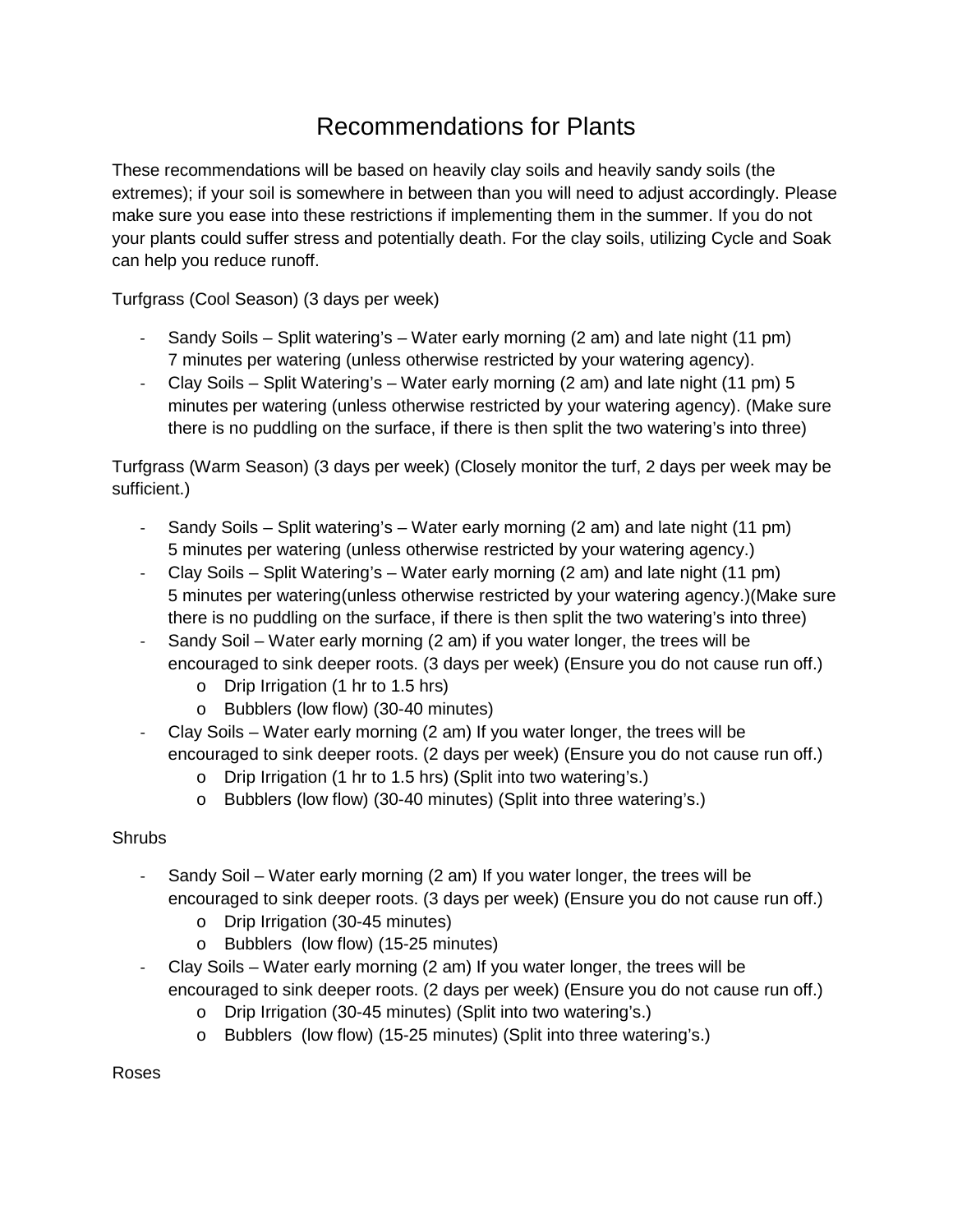## Recommendations for Plants

These recommendations will be based on heavily clay soils and heavily sandy soils (the extremes); if your soil is somewhere in between than you will need to adjust accordingly. Please make sure you ease into these restrictions if implementing them in the summer. If you do not your plants could suffer stress and potentially death. For the clay soils, utilizing Cycle and Soak can help you reduce runoff.

Turfgrass (Cool Season) (3 days per week)

- Sandy Soils Split watering's Water early morning (2 am) and late night (11 pm) 7 minutes per watering (unless otherwise restricted by your watering agency).
- Clay Soils Split Watering's Water early morning (2 am) and late night (11 pm) 5 minutes per watering (unless otherwise restricted by your watering agency). (Make sure there is no puddling on the surface, if there is then split the two watering's into three)

Turfgrass (Warm Season) (3 days per week) (Closely monitor the turf, 2 days per week may be sufficient.)

- Sandy Soils Split watering's Water early morning (2 am) and late night (11 pm) 5 minutes per watering (unless otherwise restricted by your watering agency.)
- Clay Soils Split Watering's Water early morning (2 am) and late night (11 pm) 5 minutes per watering(unless otherwise restricted by your watering agency.)(Make sure there is no puddling on the surface, if there is then split the two watering's into three)
- Sandy Soil Water early morning (2 am) if you water longer, the trees will be encouraged to sink deeper roots. (3 days per week) (Ensure you do not cause run off.)
	- o Drip Irrigation (1 hr to 1.5 hrs)
	- o Bubblers (low flow) (30-40 minutes)
- Clay Soils Water early morning (2 am) If you water longer, the trees will be encouraged to sink deeper roots. (2 days per week) (Ensure you do not cause run off.)
	- o Drip Irrigation (1 hr to 1.5 hrs) (Split into two watering's.)
	- o Bubblers (low flow) (30-40 minutes) (Split into three watering's.)

## **Shrubs**

- Sandy Soil Water early morning (2 am) If you water longer, the trees will be encouraged to sink deeper roots. (3 days per week) (Ensure you do not cause run off.)
	- o Drip Irrigation (30-45 minutes)
	- o Bubblers (low flow) (15-25 minutes)
- Clay Soils Water early morning (2 am) If you water longer, the trees will be encouraged to sink deeper roots. (2 days per week) (Ensure you do not cause run off.)
	- o Drip Irrigation (30-45 minutes) (Split into two watering's.)
	- o Bubblers (low flow) (15-25 minutes) (Split into three watering's.)

Roses